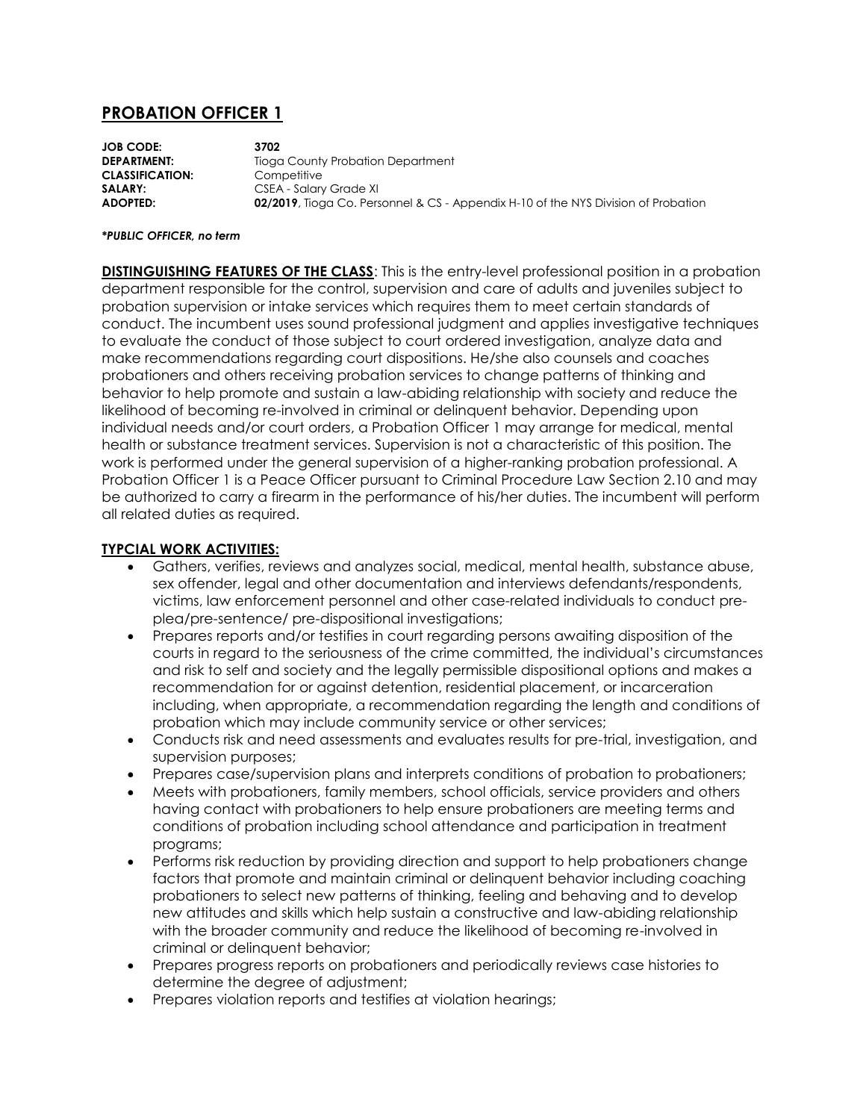## **PROBATION OFFICER 1**

**JOB CODE: 3702 DEPARTMENT:** Tioga County Probation Department **CLASSIFICATION:** Competitive **SALARY:** CSEA - Salary Grade XI **ADOPTED: 02/2019**, Tioga Co. Personnel & CS - Appendix H-10 of the NYS Division of Probation

## *\*PUBLIC OFFICER, no term*

**DISTINGUISHING FEATURES OF THE CLASS**: This is the entry-level professional position in a probation department responsible for the control, supervision and care of adults and juveniles subject to probation supervision or intake services which requires them to meet certain standards of conduct. The incumbent uses sound professional judgment and applies investigative techniques to evaluate the conduct of those subject to court ordered investigation, analyze data and make recommendations regarding court dispositions. He/she also counsels and coaches probationers and others receiving probation services to change patterns of thinking and behavior to help promote and sustain a law-abiding relationship with society and reduce the likelihood of becoming re-involved in criminal or delinquent behavior. Depending upon individual needs and/or court orders, a Probation Officer 1 may arrange for medical, mental health or substance treatment services. Supervision is not a characteristic of this position. The work is performed under the general supervision of a higher-ranking probation professional. A Probation Officer 1 is a Peace Officer pursuant to Criminal Procedure Law Section 2.10 and may be authorized to carry a firearm in the performance of his/her duties. The incumbent will perform all related duties as required.

## **TYPCIAL WORK ACTIVITIES:**

- Gathers, verifies, reviews and analyzes social, medical, mental health, substance abuse, sex offender, legal and other documentation and interviews defendants/respondents, victims, law enforcement personnel and other case-related individuals to conduct preplea/pre-sentence/ pre-dispositional investigations;
- Prepares reports and/or testifies in court regarding persons awaiting disposition of the courts in regard to the seriousness of the crime committed, the individual's circumstances and risk to self and society and the legally permissible dispositional options and makes a recommendation for or against detention, residential placement, or incarceration including, when appropriate, a recommendation regarding the length and conditions of probation which may include community service or other services;
- Conducts risk and need assessments and evaluates results for pre-trial, investigation, and supervision purposes;
- Prepares case/supervision plans and interprets conditions of probation to probationers;
- Meets with probationers, family members, school officials, service providers and others having contact with probationers to help ensure probationers are meeting terms and conditions of probation including school attendance and participation in treatment programs;
- Performs risk reduction by providing direction and support to help probationers change factors that promote and maintain criminal or delinquent behavior including coaching probationers to select new patterns of thinking, feeling and behaving and to develop new attitudes and skills which help sustain a constructive and law-abiding relationship with the broader community and reduce the likelihood of becoming re-involved in criminal or delinquent behavior;
- Prepares progress reports on probationers and periodically reviews case histories to determine the degree of adjustment;
- Prepares violation reports and testifies at violation hearings;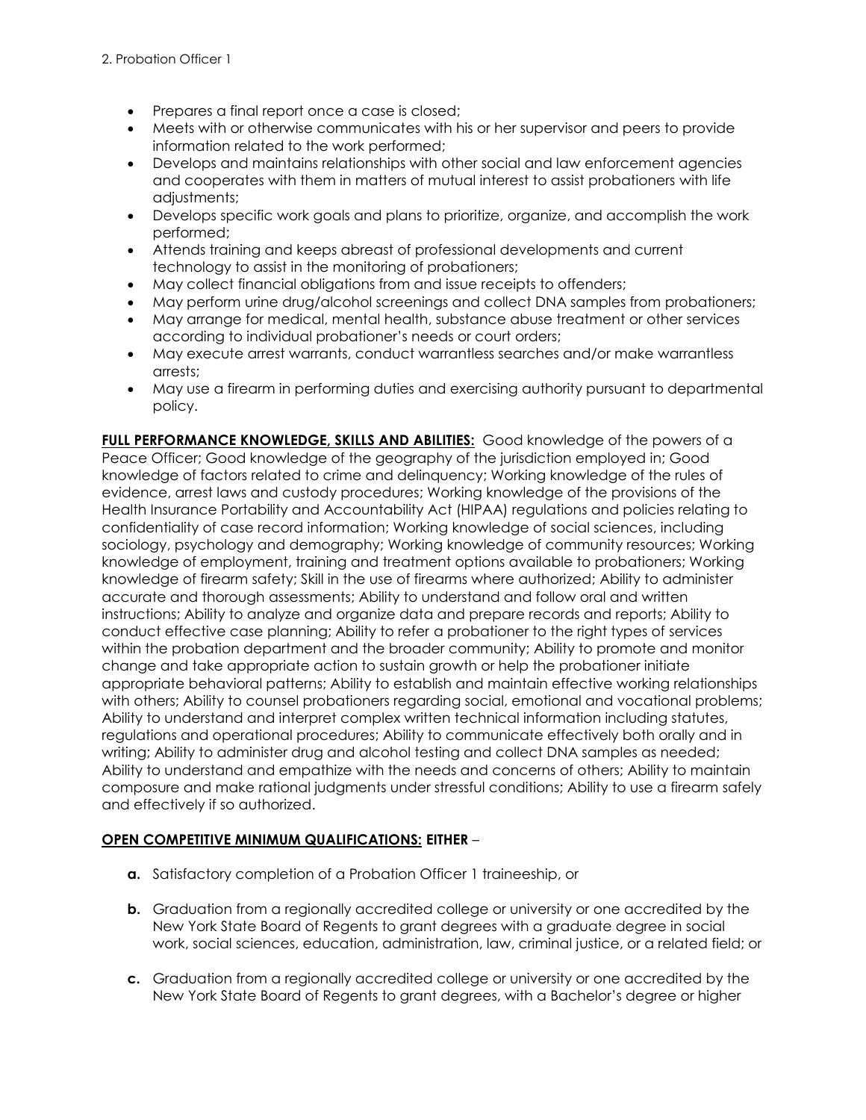- Prepares a final report once a case is closed;
- Meets with or otherwise communicates with his or her supervisor and peers to provide information related to the work performed;
- Develops and maintains relationships with other social and law enforcement agencies and cooperates with them in matters of mutual interest to assist probationers with life adiustments:
- Develops specific work goals and plans to prioritize, organize, and accomplish the work performed;
- Attends training and keeps abreast of professional developments and current technology to assist in the monitoring of probationers;
- May collect financial obligations from and issue receipts to offenders;
- May perform urine drug/alcohol screenings and collect DNA samples from probationers;
- May arrange for medical, mental health, substance abuse treatment or other services according to individual probationer's needs or court orders;
- May execute arrest warrants, conduct warrantless searches and/or make warrantless arrests;
- May use a firearm in performing duties and exercising authority pursuant to departmental policy.

**FULL PERFORMANCE KNOWLEDGE, SKILLS AND ABILITIES:** Good knowledge of the powers of a Peace Officer; Good knowledge of the geography of the jurisdiction employed in; Good knowledge of factors related to crime and delinquency; Working knowledge of the rules of evidence, arrest laws and custody procedures; Working knowledge of the provisions of the Health Insurance Portability and Accountability Act (HIPAA) regulations and policies relating to confidentiality of case record information; Working knowledge of social sciences, including sociology, psychology and demography; Working knowledge of community resources; Working knowledge of employment, training and treatment options available to probationers; Working knowledge of firearm safety; Skill in the use of firearms where authorized; Ability to administer accurate and thorough assessments; Ability to understand and follow oral and written instructions; Ability to analyze and organize data and prepare records and reports; Ability to conduct effective case planning; Ability to refer a probationer to the right types of services within the probation department and the broader community; Ability to promote and monitor change and take appropriate action to sustain growth or help the probationer initiate appropriate behavioral patterns; Ability to establish and maintain effective working relationships with others; Ability to counsel probationers regarding social, emotional and vocational problems; Ability to understand and interpret complex written technical information including statutes, regulations and operational procedures; Ability to communicate effectively both orally and in writing; Ability to administer drug and alcohol testing and collect DNA samples as needed; Ability to understand and empathize with the needs and concerns of others; Ability to maintain composure and make rational judgments under stressful conditions; Ability to use a firearm safely and effectively if so authorized.

## **OPEN COMPETITIVE MINIMUM QUALIFICATIONS: EITHER** –

- **a.** Satisfactory completion of a Probation Officer 1 traineeship, or
- **b.** Graduation from a regionally accredited college or university or one accredited by the New York State Board of Regents to grant degrees with a graduate degree in social work, social sciences, education, administration, law, criminal justice, or a related field; or
- **c.** Graduation from a regionally accredited college or university or one accredited by the New York State Board of Regents to grant degrees, with a Bachelor's degree or higher